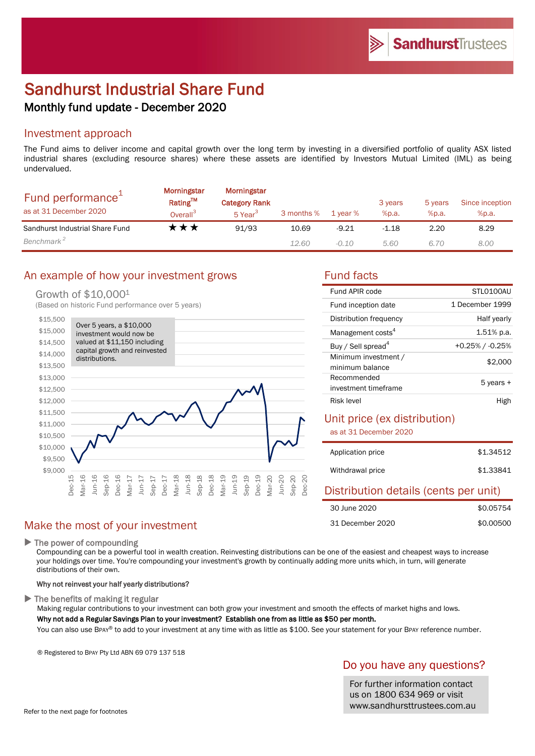# Sandhurst Industrial Share Fund Monthly fund update - December 2020

### Investment approach

The Fund aims to deliver income and capital growth over the long term by investing in a diversified portfolio of quality ASX listed industrial shares (excluding resource shares) where these assets are identified by Investors Mutual Limited (IML) as being undervalued.

| Fund performance <sup>+</sup><br>as at 31 December 2020 | Morningstar<br>Rating™<br>Overall <sup>3</sup> | Morningstar<br><b>Category Rank</b><br>5 Year <sup>3</sup> | 3 months % | 1 year % | 3 years<br>%p.a. | 5 years<br>%p.a. | Since inception<br>%p.a. |
|---------------------------------------------------------|------------------------------------------------|------------------------------------------------------------|------------|----------|------------------|------------------|--------------------------|
| Sandhurst Industrial Share Fund                         | ་★★                                            | 91/93                                                      | 10.69      | $-9.21$  | $-1.18$          | 2.20             | 8.29                     |
| Benchmark <sup>2</sup>                                  |                                                |                                                            | 12.60      | $-0.10$  | 5.60             | 6.70             | 8.00                     |

## An example of how your investment grows Fund facts

### Growth of \$10,0001

(Based on historic Fund performance over 5 years)



| STLO100AU             |
|-----------------------|
| 1 December 1999       |
| Half yearly           |
| $1.51\%$ p.a.         |
| $+0.25\%$ / $-0.25\%$ |
| \$2,000               |
|                       |
|                       |
| 5 years +             |
|                       |
|                       |

### Unit price (ex distribution)

as at 31 December 2020

| Application price | \$1,34512 |
|-------------------|-----------|
| Withdrawal price  | \$1.33841 |

### Distribution details (cents per unit)

| 30 June 2020     | \$0.05754 |
|------------------|-----------|
| 31 December 2020 | \$0,00500 |

### Make the most of your investment

▶ The power of compounding

Compounding can be a powerful tool in wealth creation. Reinvesting distributions can be one of the easiest and cheapest ways to increase your holdings over time. You're compounding your investment's growth by continually adding more units which, in turn, will generate distributions of their own.

#### Why not reinvest your half yearly distributions?

 $\blacktriangleright$  The benefits of making it regular

Making regular contributions to your investment can both grow your investment and smooth the effects of market highs and lows.

Why not add a Regular Savings Plan to your investment? Establish one from as little as \$50 per month.

You can also use BPAY® to add to your investment at any time with as little as \$100. See your statement for your BPAY reference number.

® Registered to BPAY Pty Ltd ABN 69 079 137 518

### Do you have any questions?

For further information contact us on 1800 634 969 or visit www.sandhursttrustees.com.au